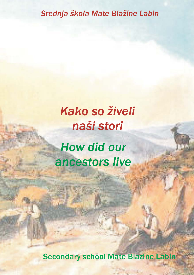### *Srednja škola Mate Blažine Labin*

# *Kako so živeli naši stori How did our ancestors live*

Secondary school Mate Blazine Labin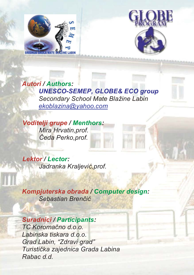



*Autori / Authors: UNESCO-SEMEP, GLOBE& ECO group Secondary School Mate Blažine Labin ekoblazina@yahoo.com*

*Voditelji grupe / Menthors: Mira Hrvatin,prof. Čeda Perko,prof.*

*Lektor / Lector: Jadranka Kraljević,prof.*

*Kompjuterska obrada / Computer design: Sebastian Brenčić*

#### *Suradnici / Participants:*

*TC Koromačno d.o.o. Labinska tiskara d.o.o. Grad Labin, "Zdravi grad" Turistička zajednica Grada Labina Rabac d.d.*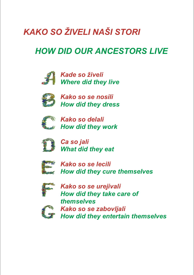## *KAKO SO ŽIVELI NAŠI STORI*

### *HOW DID OUR ANCESTORS LIVE*



*Kade so živeli Where did they live*



*Kako so se nosili How did they dress*



*Kako so delali How did they work*



*Ca so jali What did they eat*



*Kako so se lecili How did they cure themselves*



*Kako so se urejivali How did they take care of themselves Kako so se zabovljali How did they entertain themselves*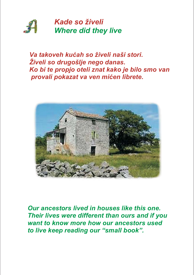

*Va takoveh kućah so živeli naši stori. Živeli so drugošlje nego danas. Ko bi te propjo oteli znat kako je bilo smo van provali pokazat va ven mićen librete.*



*Our ancestors lived in houses like this one. Their lives were different than ours and if you want to know more how our ancestors used to live keep reading our "small book".*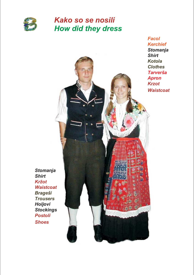

#### *Kako so se nosili How did they dress*

*Facol Kerchief Stomanja Shirt Kotola Clothes Tarverša Apron Krzot Waistcoat*

*Stomanja Shirt Kržot Waistcoat Brageši Trousers Holjovi Stockings Postoli Shoes*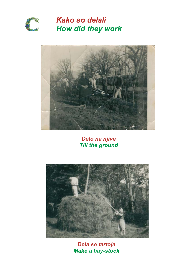

*Kako so delali How did they work*



*Delo na njive Till the ground*



*Dela se tartoja Make a hay-stock*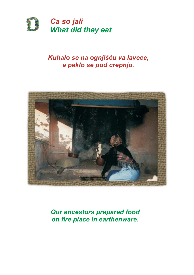

#### *Kuhalo se na ognjišću va lavece, a peklo se pod crepnjo.*



*Our ancestors prepared food on fire place in earthenware.*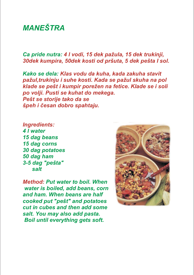#### *MANEŠTRA*

*Ca pride nutra: 4 l vodi, 15 dek pažula, 15 dek trukinji, 30dek kumpira, 50dek kosti od pršuta, 5 dek pešta I sol.*

*Kako se dela: Klas vodu da kuha, kada zakuha stavit pažul,trukinju i suhe kosti. Kada se pažul skuha na pol klade se pešt i kumpir porežen na fetice. Klade se i soli po volji. Pusti se kuhat do mekega. Pešt se storije tako da se špeh i česan dobro spahtaju.*

*Ingredients: 4 l water 15 dag beans 15 dag corns 30 dag potatoes 50 dag ham 3-5 dag "pešta" salt*

*Method: Put water to boil. When water is boiled, add beans, corn and ham. When beans are half cooked put "pešt" and potatoes cut in cubes and then add some salt. You may also add pasta. Boil until everything gets soft.*

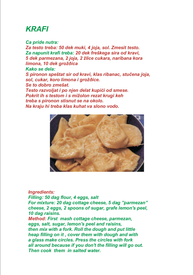#### *KRAFI*

*Ca pride nutra: Za testo treba: 50 dek muki, 4 joja, sol. Zmesit testo. Za napunit krafi treba: 20 dek freškega sira od kravi, 5 dek parmezana, 2 joja, 2 žlice cukara, naribana kora limona, 10 dek grožðica Kako se dela: S pironon speštat sir od kravi, klas ribanac, stučena joja, sol, cukar, koro limona i grožðice. Se to dobro zmešat. Testo razvoljat i po njen delat kupići od smese. Pokrit ih s testom i s mižolon rezat krugi keh treba s pironon stisnut se na okolo. Na kraju hi treba klas kuhat va slono vodo.*



#### *Ingredients:*

*Filling: 50 dag flour, 4 eggs, salt For mixture: 20 dag cottage cheese, 5 dag "parmezan" cheese, 2 eggs, 2 spoons of sugar, grafe lemon's peel, 10 dag raisins.*

*Method: First mash cottage cheese, parmezan, eggs, salt, sugar, lemon's peel and raisins, then mix with a fork. Roll the dough and put little heap filling on it , cover them with dough and with a glass make circles. Press the circles with fork all around because if you don't the filling will go out. Then cook them in salted water.*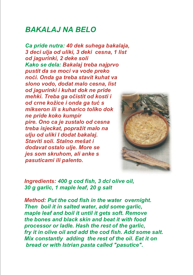#### *BAKALAJ NA BELO*

*Ca pride nutra: 40 dek suhega bakalaja, 3 deci ulja od uliki, 3 deki cesna, 1 list od jagurinki, 2 deke soli Kako se dela: Bakalaj treba najprvo pustit da se moci va vode preko noći. Onda ga treba stavit kuhat va slono vodo, dodat malo cesna, list od jagurinki i kuhat dok ne pride mehki. Treba ga očistit od kosti i od crne kožice i onda ga tuć s mikseron ili s kuharico toliko dok ne pride koko kumpir pire. Ono ca je zustalo od cesna treba isjeckat, popražit malo na ulju od uliki I dodat bakalaj. Staviti soli. Stalno mešat i dodavat ostalo ulje. More se jes som skruhom, ali anke s pasuticami ili palento.*



*Ingredients: 400 g cod fish, 3 dcl olive oil, 30 g garlic, 1 maple leaf, 20 g salt*

*Method: Put the cod fish in the water overnight. Then boil it in salted water, add some garlic, maple leaf and boil it until it gets soft. Remove the bones and black skin and beat it with food processor or ladle. Hash the rest of the garlic, fry it in olive oil and add the cod fish. Add some salt. Mix constantly adding the rest of the oil. Eat it on bread or with Istrian pasta called "pasutice".*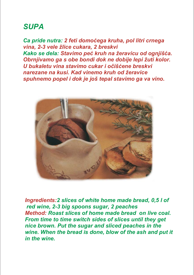#### *SUPA*

*Ca pride nutra: 2 feti domoćega kruha, pol litri crnega vina, 2-3 vele žlice cukara, 2 breskvi Kako se dela: Stavimo peć kruh na žeravicu od ognjišća. Obrnjivamo ga s obe bondi dok ne dobije lepi žuti kolor. U bukaletu vina stavimo cukar i očišćene breskvi narezane na kusi. Kad vinemo kruh od žeravice spuhnemo popel i dok je još tepal stavimo ga va vino.*



*Ingredients:2 slices of white home made bread, 0,5 l of red wine, 2-3 big spoons sugar, 2 peaches Method: Roast slices of home made bread on live coal. From time to time switch sides of slices until they get nice brown. Put the sugar and sliced peaches in the wine. When the bread is done, blow of the ash and put it in the wine.*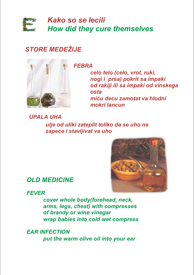

*Kako so se lecili How did they cure themselves*

#### *STORE MEDEŽIJE*



*FEBRA*

*celo telo (celo, vrot, ruki, nogi i prsa) pokrit sa impaki od rakiji ili sa impaki od vinskega osta miću decu zamotat va hlodni mokri lancun*

*UPALA UHA ulje od uliki zateplit toliko da se uho ne zapece i stavljivat va uho*



*OLD MEDICINE*

*FEVER*

*cover whole body(forehead, neck, arms, legs, chest) with compresses of brandy or wine vinegar wrap babies into cold wet compress*

*EAR INFECTION put the warm olive oil into your ear*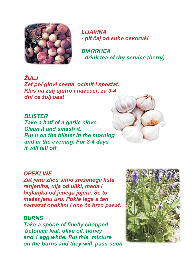

*LIJAVINA - pit čaj od suhe oskoruši*

*DIARRHEA - drink tea of dry service (berry)*

*ŽULJ Zet pol glovi cesna, ocistit i spestat. Klas na žulj ujutro i navecer, za 3-4 dni će žulj past*

*BLISTER Take a half of a garlic clove. Clean it and smash it. Put it on the blister in the morning and in the evening. For 3-4 days it will fall off.*

#### *OPEKLINE*

*Zet jenu žlicu sitno zreženega lista ranjeniha, ulja od uliki, meda i bejlanjka od jenega jojeta. Se to mešat jenu uru. Pokle tega s ten namazat opeklini i one će brzo pasat.*

#### *BURNS*

*Take a spoon of finelly chopped betonica leaf, olive oil, honey and 1 egg white. Put this mixture on the burns and they will pass soon.*

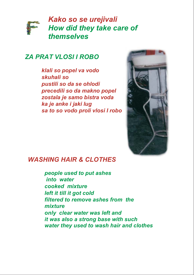

#### *ZA PRAT VLOSI I ROBO*

*klali so popel va vodo skuhali so pustili so da se ohlodi precedili so da makno popel zostala je samo bistra voda ka je anke i jaki lug sa to so vodo proli vlosi I robo*



#### *WASHING HAIR & CLOTHES*

*people used to put ashes into water cooked mixture left it till it got cold filtered to remove ashes from the mixture only clear water was left and it was also a strong base with such water they used to wash hair and clothes*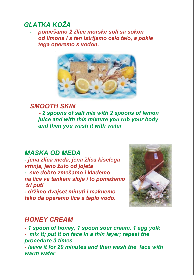#### *GLATKA KOŽA*

 *pomešamo 2 žlice morske soli sa sokon od limona i s ten istrljamo celo telo, a pokle tega operemo s vodon.*



#### *SMOOTH SKIN 2 spoons of salt mix with 2 spoons of lemon juice and with this mixture you rub your body and then you wash it with water*

#### *MASKA OD MEDA*

*- jena žlica meda, jena žlica kiselega vrhnja, jeno žuto od jojeta - sve dobro zmešamo i klademo na lice va tankem sloje i to pomažemo tri puti*

*- držimo dvajset minuti i maknemo tako da operemo lice s teplo vodo.*



#### *HONEY CREAM*

*- 1 spoon of honey, 1 spoon sour cream, 1 egg yolk - mix it; put it on face in a thin layer; repeat the procedure 3 times*

*- leave it for 20 minutes and then wash the face with warm water*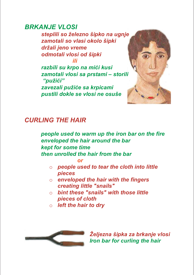#### *BRKANJE VLOSI*

*steplili so železno šipko na ugnje zamotali so vlasi okolo šipki držali jeno vreme odmotali vlosi od šipki ili*

*razbili su krpo na mići kusi zamotali vlosi sa prstami – storili "pužići"*

*zavezali pužiće sa krpicami pustili dokle se vlosi ne osuše*



#### *CURLING THE HAIR*

*people used to warm up the iron bar on the fire enveloped the hair around the bar kept for some time then unrolled the hair from the bar*

*or*

- o *people used to tear the cloth into little pieces*
- o *enveloped the hair with the fingers creating little "snails"*
- o *bint these "snails" with those little pieces of cloth*
- o *left the hair to dry*



*Željezna šipka za brkanje vlosi Iron bar for curling the hair*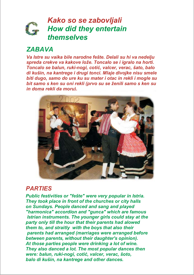

#### *ZABAVA*

*Va Istre su vaika bile narodne fešte. Delali su hi va nedelju spreda crekve va kakove lože. Toncalo se i igralo na horti. Toncalo se balun, ruki-nogi, cotić, valcer, verac, šato, balo di kušin, na kantrege i drugi tonci. Mlaje divojke nisu smele biti dugo, samo do ure ku su mater i otac in rekli i mogle su bit samo s ken su oni rekli (prvo su se ženili samo s ken su in doma rekli da moru).*



#### *PARTIES*

*Public festivities or "fešte" were very popular in Istria. They took place in front of the churches or city halls on Sundays. People danced and sang and played "harmonica" accordion and "gunca" which are famous Istrian instruments. The younger girls could stay at the party only till the hour that their parents had alowed them to, and straitly with the boys that also their parents had arranged (marriages were arranged before between parents, without their daughter's opinion). At those parties people were drinking a lot of wine. They also danced a lot. The most popular dances then were: balun, ruki-nogi, cotić, valcer, verac, šoto, balo di kušin, na kantrege and other dances.*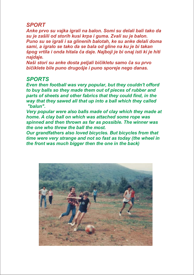#### *SPORT*

*Anke prvo su vajka igrali na balon. Somi su delali bali tako da su je zašili od storih kusi krpa i guma. Zvali su je balon. Puno su se igrali i sa glinenih balotah, ke su anke delali doma sami, a igralo se tako da se bala od gline na ku je bi takan špog vrtila i onda hitala ča daje. Najboji je bi onaj isti ki je hiti najdaje.*

*Naši stori su anke dosta peljali bičikletu samo ča su prvo bičiklete bile puno drugošje i puno sporeje nego danas.*

#### *SPORTS*

*Even then football was very popular, but they couldn't offord to buy balls so they made them out of pieces of rubber and parts of sheets and other fabrics that they could find, in the way that they sawed all that up into a ball which they called "balun".*

*Very popular were also balls made of clay which they made at home. A clay ball on which was attached some rope was spinned and then thrown as far as possible. The winner was the one who threw the ball the most.*

*Our grandfathers also loved bicycles. But bicycles from that time were very strange and not so fast as today (the wheel in the front was much bigger then the one in the back)*

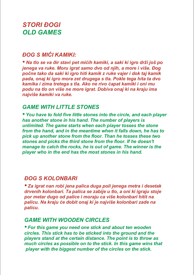#### *STORI ĐOGI OLD GAMES*

#### *ĐOG S MIĆI KAMIKI:*

*• Na tlo se va ðir stavi pet mićih kamiki, a saki ki igro drži još po jenega va ruke. Moru igrat samo dvo od njih, a more i više. Đog počne tako da saki ki igro hiti kamik z ruke vajer i dok taj kamik pada, onaj ki igro mora zet drugega s tla. Pokle tega hita ta dvo kamika i zima tretega s tla. Ako ne rivo ćapat kamiki i oni mu podu na tlo on više ne more igrat. Dobiva onaj ki na kraju ima najviše kamiki va ruke.*

#### *GAME WITH LITTLE STONES*

*• You have to fold five little stones into the circle, and each player has another stone in his hand. The number of players is unlimited. The game starts when each player tosses the stone from the hand, and in the meantime when it falls down, he has to pick up another stone from the floor. Than he tosses these two stones and picks the third stone from the floor. If he doesn't manage to catch the rocks, he is out of game. The winner is the player who in the end has the most stones in his hand.*

#### *ĐOG S KOLONBARI*

*• Za igrat nan robi jena palica duga poli jenega metra i desetak drvenih kolonbari. Ta palica se zabije u tlo, a oni ki igraju stoje por metar dugo od palice i moraju ca više kolonbari hitit na palicu. Na kraju će dobit onaj ki je najviše kolonbari zade na palicu.*

#### *GAME WITH WOODEN CIRCLES*

*• For this game you need one stick and about ten wooden circles. This stick has to be sticked into the ground and the players stand at the certain distance. The point is to throw as much circles as possible on to the stick. In this game wins that player with the biggest number of the circles on the stick.*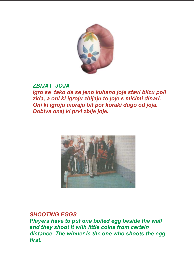

#### *ZBIJAT JOJA*

*Igro se tako da se jeno kuhano joje stavi blizu poli zida, a oni ki igroju zbijaju to joje s mićimi dinari. Oni ki igroju moraju bit por koraki dugo od joja. Dobiva onaj ki prvi zbije joje.*



#### *SHOOTING EGGS*

*Players have to put one boiled egg beside the wall and they shoot it with little coins from certain distance. The winner is the one who shoots the egg first.*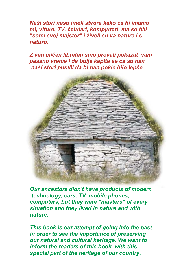*Naši stori neso imeli stvora kako ca hi imamo mi, viture, TV, čelulari, kompjuteri, ma so bili "somi svoj majstor" i živeli su va nature i s naturo.*

*Z ven mićen libreten smo provali pokazat vam pasano vreme i da bolje kapite se ca so nan naši stori pustili da bi nan pokle bilo lepše.*



*Our ancestors didn't have products of modern technology, cars, TV, mobile phones, computers, but they were "masters" of every situation and they lived in nature and with nature.*

*This book is our attempt of going into the past in order to see the importance of preserving our natural and cultural heritage. We want to inform the readers of this book, with this special part of the heritage of our country.*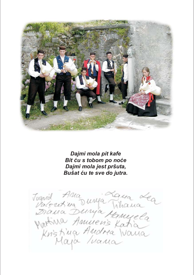

*Dajmi mola pit kafe Bit ću s tobom po noće Dajmi mola jest pršuta, Bušat ću te sve do jutra.*

Tugnid Ama Dunya Tihana<br>Biana Dunya Kanyela<br>Wakina Amnen's Katian<br>Kristiya Amnen's Katian<br>Kristiya Amdrea Wana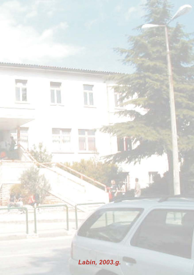*Labin, 2003.g.*

II

pury Novel